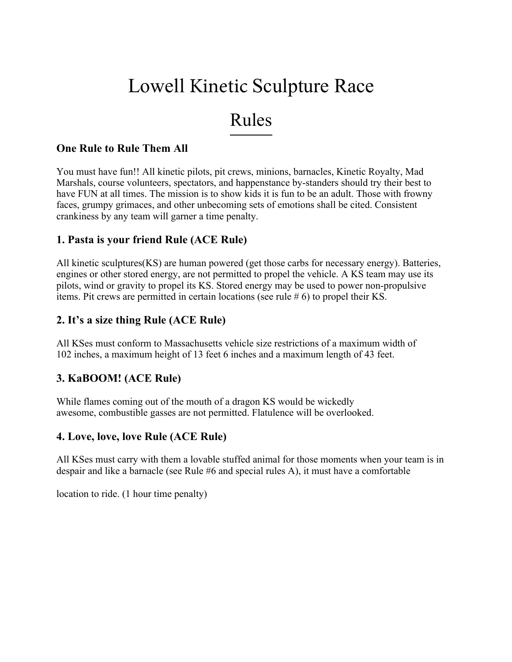# Lowell Kinetic Sculpture Race

# Rules

#### **One Rule to Rule Them All**

You must have fun!! All kinetic pilots, pit crews, minions, barnacles, Kinetic Royalty, Mad Marshals, course volunteers, spectators, and happenstance by-standers should try their best to have FUN at all times. The mission is to show kids it is fun to be an adult. Those with frowny faces, grumpy grimaces, and other unbecoming sets of emotions shall be cited. Consistent crankiness by any team will garner a time penalty.

#### **1. Pasta is your friend Rule (ACE Rule)**

All kinetic sculptures(KS) are human powered (get those carbs for necessary energy). Batteries, engines or other stored energy, are not permitted to propel the vehicle. A KS team may use its pilots, wind or gravity to propel its KS. Stored energy may be used to power non-propulsive items. Pit crews are permitted in certain locations (see rule # 6) to propel their KS.

#### **2. It's a size thing Rule (ACE Rule)**

All KSes must conform to Massachusetts vehicle size restrictions of a maximum width of 102 inches, a maximum height of 13 feet 6 inches and a maximum length of 43 feet.

#### **3. KaBOOM! (ACE Rule)**

While flames coming out of the mouth of a dragon KS would be wickedly awesome, combustible gasses are not permitted. Flatulence will be overlooked.

#### **4. Love, love, love Rule (ACE Rule)**

All KSes must carry with them a lovable stuffed animal for those moments when your team is in despair and like a barnacle (see Rule #6 and special rules A), it must have a comfortable

location to ride. (1 hour time penalty)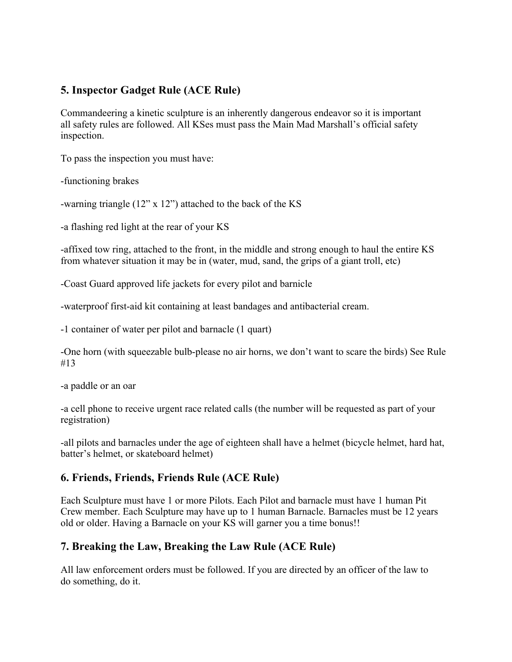# **5. Inspector Gadget Rule (ACE Rule)**

Commandeering a kinetic sculpture is an inherently dangerous endeavor so it is important all safety rules are followed. All KSes must pass the Main Mad Marshall's official safety inspection.

To pass the inspection you must have:

-functioning brakes

-warning triangle (12" x 12") attached to the back of the KS

-a flashing red light at the rear of your KS

-affixed tow ring, attached to the front, in the middle and strong enough to haul the entire KS from whatever situation it may be in (water, mud, sand, the grips of a giant troll, etc)

-Coast Guard approved life jackets for every pilot and barnicle

-waterproof first-aid kit containing at least bandages and antibacterial cream.

-1 container of water per pilot and barnacle (1 quart)

-One horn (with squeezable bulb-please no air horns, we don't want to scare the birds) See Rule #13

-a paddle or an oar

-a cell phone to receive urgent race related calls (the number will be requested as part of your registration)

-all pilots and barnacles under the age of eighteen shall have a helmet (bicycle helmet, hard hat, batter's helmet, or skateboard helmet)

# **6. Friends, Friends, Friends Rule (ACE Rule)**

Each Sculpture must have 1 or more Pilots. Each Pilot and barnacle must have 1 human Pit Crew member. Each Sculpture may have up to 1 human Barnacle. Barnacles must be 12 years old or older. Having a Barnacle on your KS will garner you a time bonus!!

# **7. Breaking the Law, Breaking the Law Rule (ACE Rule)**

All law enforcement orders must be followed. If you are directed by an officer of the law to do something, do it.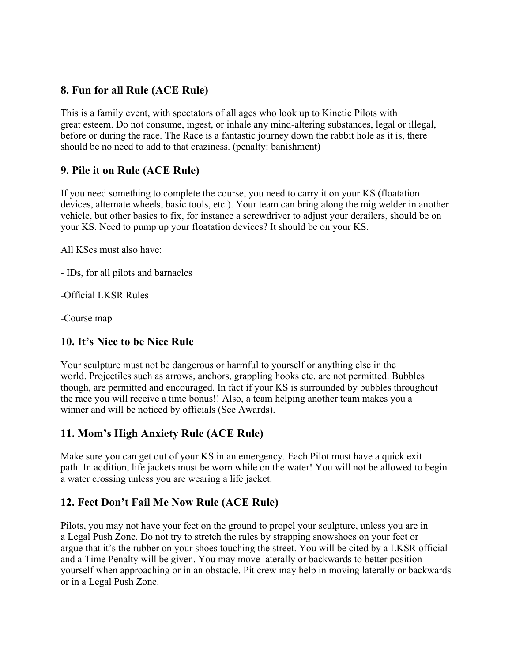#### **8. Fun for all Rule (ACE Rule)**

This is a family event, with spectators of all ages who look up to Kinetic Pilots with great esteem. Do not consume, ingest, or inhale any mind-altering substances, legal or illegal, before or during the race. The Race is a fantastic journey down the rabbit hole as it is, there should be no need to add to that craziness. (penalty: banishment)

#### **9. Pile it on Rule (ACE Rule)**

If you need something to complete the course, you need to carry it on your KS (floatation devices, alternate wheels, basic tools, etc.). Your team can bring along the mig welder in another vehicle, but other basics to fix, for instance a screwdriver to adjust your derailers, should be on your KS. Need to pump up your floatation devices? It should be on your KS.

All KSes must also have:

- IDs, for all pilots and barnacles

-Official LKSR Rules

-Course map

#### **10. It's Nice to be Nice Rule**

Your sculpture must not be dangerous or harmful to yourself or anything else in the world. Projectiles such as arrows, anchors, grappling hooks etc. are not permitted. Bubbles though, are permitted and encouraged. In fact if your KS is surrounded by bubbles throughout the race you will receive a time bonus!! Also, a team helping another team makes you a winner and will be noticed by officials (See Awards).

# **11. Mom's High Anxiety Rule (ACE Rule)**

Make sure you can get out of your KS in an emergency. Each Pilot must have a quick exit path. In addition, life jackets must be worn while on the water! You will not be allowed to begin a water crossing unless you are wearing a life jacket.

# **12. Feet Don't Fail Me Now Rule (ACE Rule)**

Pilots, you may not have your feet on the ground to propel your sculpture, unless you are in a Legal Push Zone. Do not try to stretch the rules by strapping snowshoes on your feet or argue that it's the rubber on your shoes touching the street. You will be cited by a LKSR official and a Time Penalty will be given. You may move laterally or backwards to better position yourself when approaching or in an obstacle. Pit crew may help in moving laterally or backwards or in a Legal Push Zone.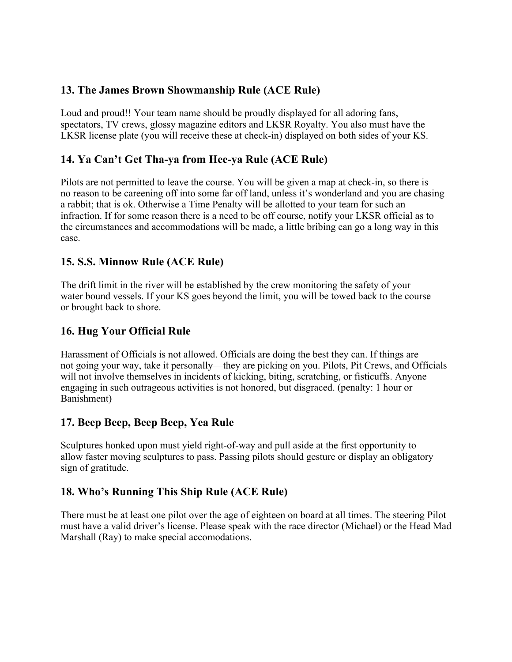# **13. The James Brown Showmanship Rule (ACE Rule)**

Loud and proud!! Your team name should be proudly displayed for all adoring fans, spectators, TV crews, glossy magazine editors and LKSR Royalty. You also must have the LKSR license plate (you will receive these at check-in) displayed on both sides of your KS.

# **14. Ya Can't Get Tha-ya from Hee-ya Rule (ACE Rule)**

Pilots are not permitted to leave the course. You will be given a map at check-in, so there is no reason to be careening off into some far off land, unless it's wonderland and you are chasing a rabbit; that is ok. Otherwise a Time Penalty will be allotted to your team for such an infraction. If for some reason there is a need to be off course, notify your LKSR official as to the circumstances and accommodations will be made, a little bribing can go a long way in this case.

#### **15. S.S. Minnow Rule (ACE Rule)**

The drift limit in the river will be established by the crew monitoring the safety of your water bound vessels. If your KS goes beyond the limit, you will be towed back to the course or brought back to shore.

#### **16. Hug Your Official Rule**

Harassment of Officials is not allowed. Officials are doing the best they can. If things are not going your way, take it personally—they are picking on you. Pilots, Pit Crews, and Officials will not involve themselves in incidents of kicking, biting, scratching, or fisticuffs. Anyone engaging in such outrageous activities is not honored, but disgraced. (penalty: 1 hour or Banishment)

#### **17. Beep Beep, Beep Beep, Yea Rule**

Sculptures honked upon must yield right-of-way and pull aside at the first opportunity to allow faster moving sculptures to pass. Passing pilots should gesture or display an obligatory sign of gratitude.

#### **18. Who's Running This Ship Rule (ACE Rule)**

There must be at least one pilot over the age of eighteen on board at all times. The steering Pilot must have a valid driver's license. Please speak with the race director (Michael) or the Head Mad Marshall (Ray) to make special accomodations.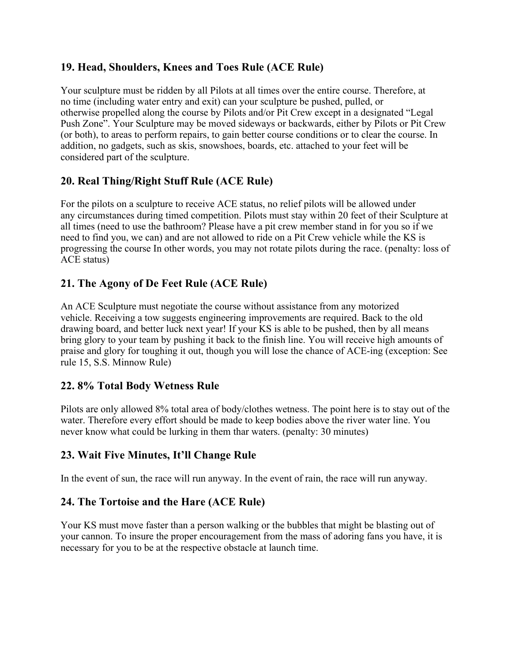# **19. Head, Shoulders, Knees and Toes Rule (ACE Rule)**

Your sculpture must be ridden by all Pilots at all times over the entire course. Therefore, at no time (including water entry and exit) can your sculpture be pushed, pulled, or otherwise propelled along the course by Pilots and/or Pit Crew except in a designated "Legal Push Zone". Your Sculpture may be moved sideways or backwards, either by Pilots or Pit Crew (or both), to areas to perform repairs, to gain better course conditions or to clear the course. In addition, no gadgets, such as skis, snowshoes, boards, etc. attached to your feet will be considered part of the sculpture.

# **20. Real Thing/Right Stuff Rule (ACE Rule)**

For the pilots on a sculpture to receive ACE status, no relief pilots will be allowed under any circumstances during timed competition. Pilots must stay within 20 feet of their Sculpture at all times (need to use the bathroom? Please have a pit crew member stand in for you so if we need to find you, we can) and are not allowed to ride on a Pit Crew vehicle while the KS is progressing the course In other words, you may not rotate pilots during the race. (penalty: loss of ACE status)

# **21. The Agony of De Feet Rule (ACE Rule)**

An ACE Sculpture must negotiate the course without assistance from any motorized vehicle. Receiving a tow suggests engineering improvements are required. Back to the old drawing board, and better luck next year! If your KS is able to be pushed, then by all means bring glory to your team by pushing it back to the finish line. You will receive high amounts of praise and glory for toughing it out, though you will lose the chance of ACE-ing (exception: See rule 15, S.S. Minnow Rule)

#### **22. 8% Total Body Wetness Rule**

Pilots are only allowed 8% total area of body/clothes wetness. The point here is to stay out of the water. Therefore every effort should be made to keep bodies above the river water line. You never know what could be lurking in them thar waters. (penalty: 30 minutes)

#### **23. Wait Five Minutes, It'll Change Rule**

In the event of sun, the race will run anyway. In the event of rain, the race will run anyway.

#### **24. The Tortoise and the Hare (ACE Rule)**

Your KS must move faster than a person walking or the bubbles that might be blasting out of your cannon. To insure the proper encouragement from the mass of adoring fans you have, it is necessary for you to be at the respective obstacle at launch time.